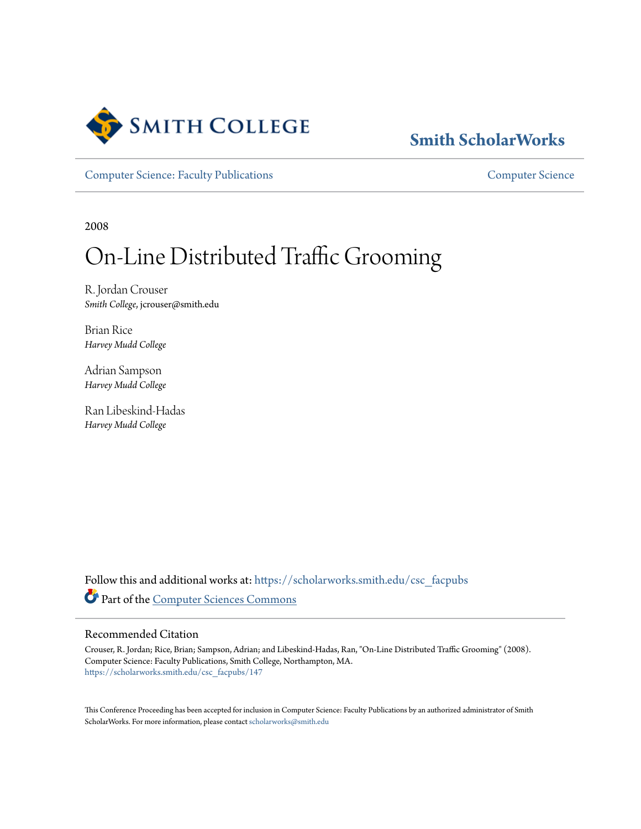

### **[Smith ScholarWorks](https://scholarworks.smith.edu/?utm_source=scholarworks.smith.edu%2Fcsc_facpubs%2F147&utm_medium=PDF&utm_campaign=PDFCoverPages)**

[Computer Science: Faculty Publications](https://scholarworks.smith.edu/csc_facpubs?utm_source=scholarworks.smith.edu%2Fcsc_facpubs%2F147&utm_medium=PDF&utm_campaign=PDFCoverPages) [Computer Science](https://scholarworks.smith.edu/csc?utm_source=scholarworks.smith.edu%2Fcsc_facpubs%2F147&utm_medium=PDF&utm_campaign=PDFCoverPages)

2008

# On-Line Distributed Traffic Grooming

R. Jordan Crouser *Smith College*, jcrouser@smith.edu

Brian Rice *Harvey Mudd College*

Adrian Sampson *Harvey Mudd College*

Ran Libeskind-Hadas *Harvey Mudd College*

Follow this and additional works at: [https://scholarworks.smith.edu/csc\\_facpubs](https://scholarworks.smith.edu/csc_facpubs?utm_source=scholarworks.smith.edu%2Fcsc_facpubs%2F147&utm_medium=PDF&utm_campaign=PDFCoverPages) Part of the [Computer Sciences Commons](http://network.bepress.com/hgg/discipline/142?utm_source=scholarworks.smith.edu%2Fcsc_facpubs%2F147&utm_medium=PDF&utm_campaign=PDFCoverPages)

#### Recommended Citation

Crouser, R. Jordan; Rice, Brian; Sampson, Adrian; and Libeskind-Hadas, Ran, "On-Line Distributed Traffic Grooming" (2008). Computer Science: Faculty Publications, Smith College, Northampton, MA. [https://scholarworks.smith.edu/csc\\_facpubs/147](https://scholarworks.smith.edu/csc_facpubs/147?utm_source=scholarworks.smith.edu%2Fcsc_facpubs%2F147&utm_medium=PDF&utm_campaign=PDFCoverPages)

This Conference Proceeding has been accepted for inclusion in Computer Science: Faculty Publications by an authorized administrator of Smith ScholarWorks. For more information, please contact [scholarworks@smith.edu](mailto:scholarworks@smith.edu)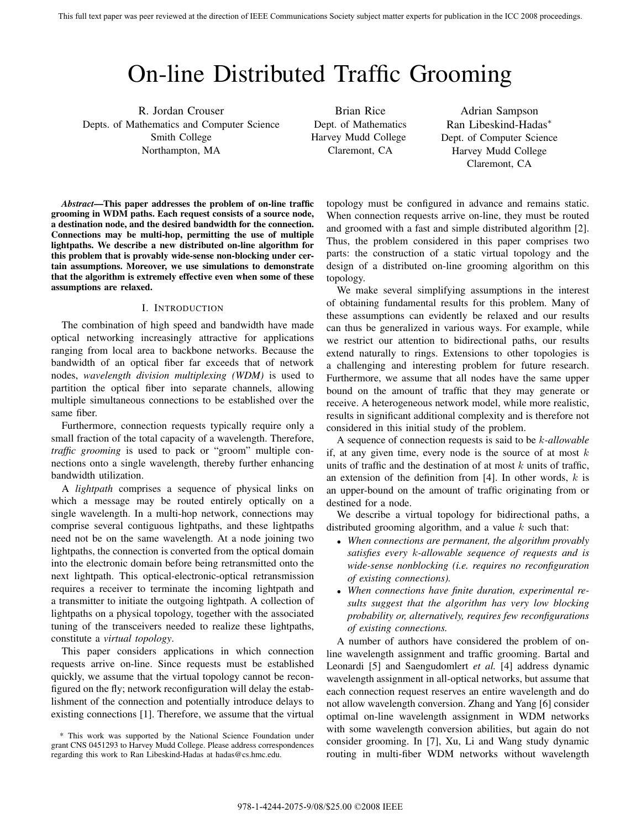## On-line Distributed Traffic Grooming

R. Jordan Crouser Depts. of Mathematics and Computer Science Smith College Northampton, MA

Brian Rice Dept. of Mathematics Harvey Mudd College Claremont, CA

Adrian Sampson Ran Libeskind-Hadas∗ Dept. of Computer Science Harvey Mudd College Claremont, CA

*Abstract***—This paper addresses the problem of on-line traffic grooming in WDM paths. Each request consists of a source node, a destination node, and the desired bandwidth for the connection. Connections may be multi-hop, permitting the use of multiple lightpaths. We describe a new distributed on-line algorithm for this problem that is provably wide-sense non-blocking under certain assumptions. Moreover, we use simulations to demonstrate that the algorithm is extremely effective even when some of these assumptions are relaxed.**

#### I. INTRODUCTION

The combination of high speed and bandwidth have made optical networking increasingly attractive for applications ranging from local area to backbone networks. Because the bandwidth of an optical fiber far exceeds that of network nodes, *wavelength division multiplexing (WDM)* is used to partition the optical fiber into separate channels, allowing multiple simultaneous connections to be established over the same fiber.

Furthermore, connection requests typically require only a small fraction of the total capacity of a wavelength. Therefore, *traffic grooming* is used to pack or "groom" multiple connections onto a single wavelength, thereby further enhancing bandwidth utilization.

A *lightpath* comprises a sequence of physical links on which a message may be routed entirely optically on a single wavelength. In a multi-hop network, connections may comprise several contiguous lightpaths, and these lightpaths need not be on the same wavelength. At a node joining two lightpaths, the connection is converted from the optical domain into the electronic domain before being retransmitted onto the next lightpath. This optical-electronic-optical retransmission requires a receiver to terminate the incoming lightpath and a transmitter to initiate the outgoing lightpath. A collection of lightpaths on a physical topology, together with the associated tuning of the transceivers needed to realize these lightpaths, constitute a *virtual topology*.

This paper considers applications in which connection requests arrive on-line. Since requests must be established quickly, we assume that the virtual topology cannot be reconfigured on the fly; network reconfiguration will delay the establishment of the connection and potentially introduce delays to existing connections [1]. Therefore, we assume that the virtual

\* This work was supported by the National Science Foundation under grant CNS 0451293 to Harvey Mudd College. Please address correspondences regarding this work to Ran Libeskind-Hadas at hadas@cs.hmc.edu.

topology must be configured in advance and remains static. When connection requests arrive on-line, they must be routed and groomed with a fast and simple distributed algorithm [2]. Thus, the problem considered in this paper comprises two parts: the construction of a static virtual topology and the design of a distributed on-line grooming algorithm on this topology.

We make several simplifying assumptions in the interest of obtaining fundamental results for this problem. Many of these assumptions can evidently be relaxed and our results can thus be generalized in various ways. For example, while we restrict our attention to bidirectional paths, our results extend naturally to rings. Extensions to other topologies is a challenging and interesting problem for future research. Furthermore, we assume that all nodes have the same upper bound on the amount of traffic that they may generate or receive. A heterogeneous network model, while more realistic, results in significant additional complexity and is therefore not considered in this initial study of the problem.

A sequence of connection requests is said to be *k-allowable* if, at any given time, every node is the source of at most *k* units of traffic and the destination of at most *k* units of traffic, an extension of the definition from [4]. In other words, *k* is an upper-bound on the amount of traffic originating from or destined for a node.

We describe a virtual topology for bidirectional paths, a distributed grooming algorithm, and a value *k* such that:

- *• When connections are permanent, the algorithm provably satisfies every k-allowable sequence of requests and is wide-sense nonblocking (i.e. requires no reconfiguration of existing connections).*
- *• When connections have finite duration, experimental results suggest that the algorithm has very low blocking probability or, alternatively, requires few reconfigurations of existing connections.*

A number of authors have considered the problem of online wavelength assignment and traffic grooming. Bartal and Leonardi [5] and Saengudomlert *et al.* [4] address dynamic wavelength assignment in all-optical networks, but assume that each connection request reserves an entire wavelength and do not allow wavelength conversion. Zhang and Yang [6] consider optimal on-line wavelength assignment in WDM networks with some wavelength conversion abilities, but again do not consider grooming. In [7], Xu, Li and Wang study dynamic routing in multi-fiber WDM networks without wavelength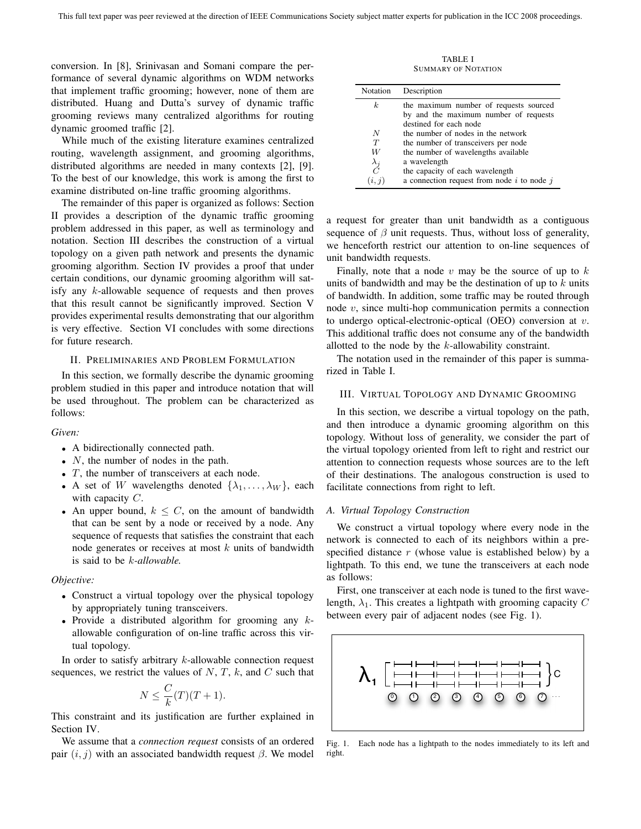conversion. In [8], Srinivasan and Somani compare the performance of several dynamic algorithms on WDM networks that implement traffic grooming; however, none of them are distributed. Huang and Dutta's survey of dynamic traffic grooming reviews many centralized algorithms for routing dynamic groomed traffic [2].

While much of the existing literature examines centralized routing, wavelength assignment, and grooming algorithms, distributed algorithms are needed in many contexts [2], [9]. To the best of our knowledge, this work is among the first to examine distributed on-line traffic grooming algorithms.

The remainder of this paper is organized as follows: Section II provides a description of the dynamic traffic grooming problem addressed in this paper, as well as terminology and notation. Section III describes the construction of a virtual topology on a given path network and presents the dynamic grooming algorithm. Section IV provides a proof that under certain conditions, our dynamic grooming algorithm will satisfy any *k*-allowable sequence of requests and then proves that this result cannot be significantly improved. Section V provides experimental results demonstrating that our algorithm is very effective. Section VI concludes with some directions for future research.

#### II. PRELIMINARIES AND PROBLEM FORMULATION

In this section, we formally describe the dynamic grooming problem studied in this paper and introduce notation that will be used throughout. The problem can be characterized as follows:

#### *Given:*

- *•* A bidirectionally connected path.
- *• N*, the number of nodes in the path.
- *• T*, the number of transceivers at each node.
- A set of *W* wavelengths denoted  $\{\lambda_1, \ldots, \lambda_W\}$ , each with capacity *C*.
- An upper bound,  $k \leq C$ , on the amount of bandwidth that can be sent by a node or received by a node. Any sequence of requests that satisfies the constraint that each node generates or receives at most *k* units of bandwidth is said to be *k-allowable.*

#### *Objective:*

- Construct a virtual topology over the physical topology by appropriately tuning transceivers.
- *•* Provide a distributed algorithm for grooming any *k*allowable configuration of on-line traffic across this virtual topology.

In order to satisfy arbitrary *k*-allowable connection request sequences, we restrict the values of  $N$ ,  $T$ ,  $k$ , and  $C$  such that

$$
N \leq \frac{C}{k}(T)(T+1).
$$

This constraint and its justification are further explained in Section IV.

We assume that a *connection request* consists of an ordered pair  $(i, j)$  with an associated bandwidth request  $\beta$ . We model

TABLE I SUMMARY OF NOTATION

| <b>Notation</b> | Description                                    |  |  |  |  |
|-----------------|------------------------------------------------|--|--|--|--|
| k.              | the maximum number of requests sourced         |  |  |  |  |
|                 | by and the maximum number of requests          |  |  |  |  |
|                 | destined for each node                         |  |  |  |  |
| N               | the number of nodes in the network             |  |  |  |  |
| T               | the number of transceivers per node            |  |  |  |  |
| W               | the number of wavelengths available            |  |  |  |  |
| $\lambda_j$     | a wavelength                                   |  |  |  |  |
|                 | the capacity of each wavelength                |  |  |  |  |
| (i, j)          | a connection request from node $i$ to node $j$ |  |  |  |  |

a request for greater than unit bandwidth as a contiguous sequence of  $\beta$  unit requests. Thus, without loss of generality, we henceforth restrict our attention to on-line sequences of unit bandwidth requests.

Finally, note that a node *v* may be the source of up to *k* units of bandwidth and may be the destination of up to *k* units of bandwidth. In addition, some traffic may be routed through node *v*, since multi-hop communication permits a connection to undergo optical-electronic-optical (OEO) conversion at *v*. This additional traffic does not consume any of the bandwidth allotted to the node by the *k*-allowability constraint.

The notation used in the remainder of this paper is summarized in Table I.

#### III. VIRTUAL TOPOLOGY AND DYNAMIC GROOMING

In this section, we describe a virtual topology on the path, and then introduce a dynamic grooming algorithm on this topology. Without loss of generality, we consider the part of the virtual topology oriented from left to right and restrict our attention to connection requests whose sources are to the left of their destinations. The analogous construction is used to facilitate connections from right to left.

#### *A. Virtual Topology Construction*

We construct a virtual topology where every node in the network is connected to each of its neighbors within a prespecified distance *r* (whose value is established below) by a lightpath. To this end, we tune the transceivers at each node as follows:

First, one transceiver at each node is tuned to the first wavelength,  $\lambda_1$ . This creates a lightpath with grooming capacity  $C$ between every pair of adjacent nodes (see Fig. 1).



Fig. 1. Each node has a lightpath to the nodes immediately to its left and right.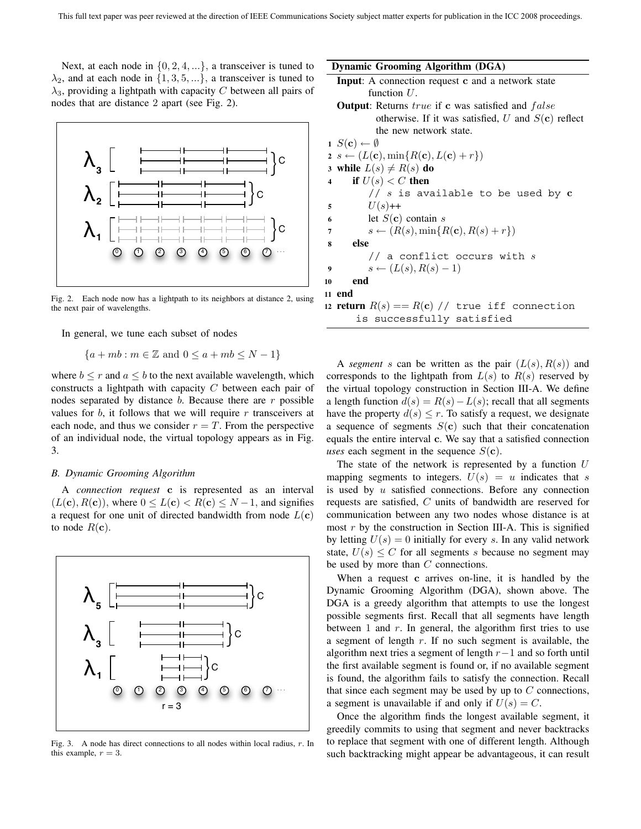Next, at each node in  $\{0, 2, 4, ...\}$ , a transceiver is tuned to  $\lambda_2$ , and at each node in  $\{1, 3, 5, ...\}$ , a transceiver is tuned to  $\lambda_3$ , providing a lightpath with capacity *C* between all pairs of nodes that are distance 2 apart (see Fig. 2).



Fig. 2. Each node now has a lightpath to its neighbors at distance 2, using the next pair of wavelengths.

In general, we tune each subset of nodes

$$
\{a+mb : m \in \mathbb{Z} \text{ and } 0 \le a+mb \le N-1\}
$$

where  $b \le r$  and  $a \le b$  to the next available wavelength, which constructs a lightpath with capacity *C* between each pair of nodes separated by distance *b*. Because there are *r* possible values for  $b$ , it follows that we will require  $r$  transceivers at each node, and thus we consider  $r = T$ . From the perspective of an individual node, the virtual topology appears as in Fig. 3.

#### *B. Dynamic Grooming Algorithm*

A *connection request* c is represented as an interval  $(L(\mathbf{c}), R(\mathbf{c}))$ , where  $0 \leq L(\mathbf{c}) < R(\mathbf{c}) \leq N-1$ , and signifies a request for one unit of directed bandwidth from node *L*(c) to node  $R(c)$ .



Fig. 3. A node has direct connections to all nodes within local radius, *r*. In this example,  $r = 3$ .

**Dynamic Grooming Algorithm (DGA)**

- **Input**: A connection request c and a network state function *U*.
- **Output**: Returns *true* if c was satisfied and *f alse* otherwise. If it was satisfied, *U* and *S*(c) reflect the new network state.

 $1 S(c) \leftarrow \emptyset$  $2 s \leftarrow (L(\mathbf{c}), \min\{R(\mathbf{c}), L(\mathbf{c}) + r\})$ **3 while**  $L(s) \neq R(s)$  **do**<br>**4 if**  $U(s) < C$  **then if**  $U(s) < C$  **then** // *s* is available to be used by c 5  $U(s)++$ **<sup>6</sup>** let *S*(c) contain *s s* ←  $(R(s), \min\{R(c), R(s) + r\})$ <br>**8 else <sup>8</sup> else** // a conflict occurs with *s* **9**  $s \leftarrow (L(s), R(s) - 1)$ <br> **10 end <sup>10</sup> end <sup>11</sup> end 12 return**  $R(s) == R(c)$  // true iff connection is successfully satisfied

A *segment s* can be written as the pair  $(L(s), R(s))$  and corresponds to the lightpath from  $L(s)$  to  $R(s)$  reserved by the virtual topology construction in Section III-A. We define a length function  $d(s) = R(s) - L(s)$ ; recall that all segments have the property  $d(s) \leq r$ . To satisfy a request, we designate a sequence of segments  $S(c)$  such that their concatenation equals the entire interval c. We say that a satisfied connection *uses* each segment in the sequence  $S(c)$ .

The state of the network is represented by a function *U* mapping segments to integers.  $U(s) = u$  indicates that *s* is used by *u* satisfied connections. Before any connection requests are satisfied, *C* units of bandwidth are reserved for communication between any two nodes whose distance is at most *r* by the construction in Section III-A. This is signified by letting  $U(s)=0$  initially for every *s*. In any valid network state,  $U(s) \leq C$  for all segments *s* because no segment may be used by more than *C* connections.

When a request c arrives on-line, it is handled by the Dynamic Grooming Algorithm (DGA), shown above. The DGA is a greedy algorithm that attempts to use the longest possible segments first. Recall that all segments have length between 1 and *r*. In general, the algorithm first tries to use a segment of length *r*. If no such segment is available, the algorithm next tries a segment of length *r*−1 and so forth until the first available segment is found or, if no available segment is found, the algorithm fails to satisfy the connection. Recall that since each segment may be used by up to *C* connections, a segment is unavailable if and only if  $U(s) = C$ .

Once the algorithm finds the longest available segment, it greedily commits to using that segment and never backtracks to replace that segment with one of different length. Although such backtracking might appear be advantageous, it can result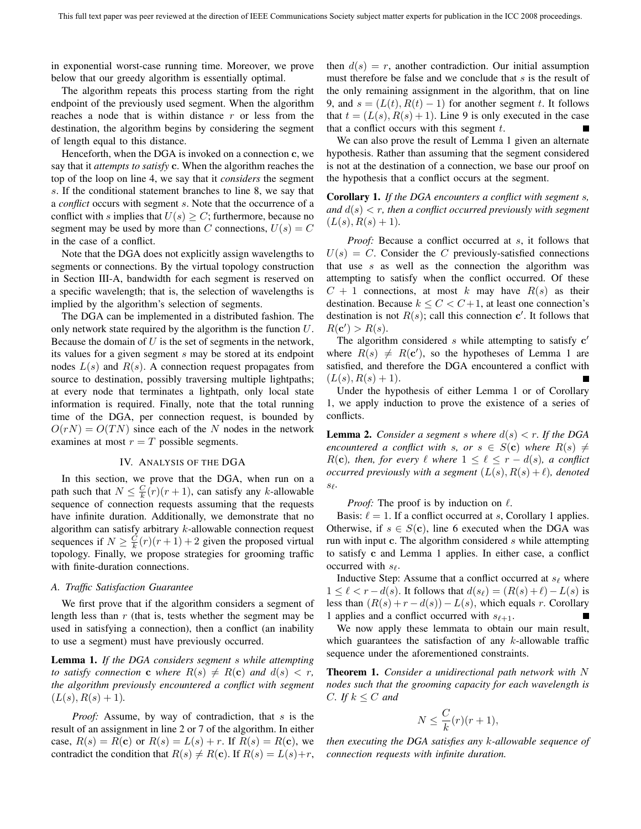in exponential worst-case running time. Moreover, we prove below that our greedy algorithm is essentially optimal.

The algorithm repeats this process starting from the right endpoint of the previously used segment. When the algorithm reaches a node that is within distance *r* or less from the destination, the algorithm begins by considering the segment of length equal to this distance.

Henceforth, when the DGA is invoked on a connection c, we say that it *attempts to satisfy* c. When the algorithm reaches the top of the loop on line 4, we say that it *considers* the segment *s*. If the conditional statement branches to line 8, we say that a *conflict* occurs with segment *s*. Note that the occurrence of a conflict with *s* implies that  $U(s) \geq C$ ; furthermore, because no segment may be used by more than *C* connections,  $U(s) = C$ in the case of a conflict.

Note that the DGA does not explicitly assign wavelengths to segments or connections. By the virtual topology construction in Section III-A, bandwidth for each segment is reserved on a specific wavelength; that is, the selection of wavelengths is implied by the algorithm's selection of segments.

The DGA can be implemented in a distributed fashion. The only network state required by the algorithm is the function *U*. Because the domain of *U* is the set of segments in the network, its values for a given segment *s* may be stored at its endpoint nodes  $L(s)$  and  $R(s)$ . A connection request propagates from source to destination, possibly traversing multiple lightpaths; at every node that terminates a lightpath, only local state information is required. Finally, note that the total running time of the DGA, per connection request, is bounded by  $O(rN) = O(TN)$  since each of the *N* nodes in the network examines at most  $r = T$  possible segments.

#### IV. ANALYSIS OF THE DGA

In this section, we prove that the DGA, when run on a path such that  $N \leq \frac{C}{k}(r)(r+1)$ , can satisfy any *k*-allowable sequence of connection requests assuming that the requests have infinite duration. Additionally, we demonstrate that no algorithm can satisfy arbitrary *k*-allowable connection request sequences if  $N \geq \frac{C}{k}(r)(r+1) + 2$  given the proposed virtual topology. Finally, we propose strategies for grooming traffic with finite-duration connections.

#### *A. Traffic Satisfaction Guarantee*

We first prove that if the algorithm considers a segment of length less than *r* (that is, tests whether the segment may be used in satisfying a connection), then a conflict (an inability to use a segment) must have previously occurred.

**Lemma 1.** *If the DGA considers segment s while attempting to satisfy connection* **c** *where*  $R(s) \neq R(c)$  *and*  $d(s) < r$ *, the algorithm previously encountered a conflict with segment*  $(L(s), R(s) + 1)$ .

*Proof:* Assume, by way of contradiction, that *s* is the result of an assignment in line 2 or 7 of the algorithm. In either case,  $R(s) = R(c)$  or  $R(s) = L(s) + r$ . If  $R(s) = R(c)$ , we contradict the condition that  $R(s) \neq R(c)$ . If  $R(s) = L(s) + r$ , then  $d(s) = r$ , another contradiction. Our initial assumption must therefore be false and we conclude that *s* is the result of the only remaining assignment in the algorithm, that on line 9, and  $s = (L(t), R(t) - 1)$  for another segment *t*. It follows that  $t = (L(s), R(s) + 1)$ . Line 9 is only executed in the case that a conflict occurs with this segment *t*.

We can also prove the result of Lemma 1 given an alternate hypothesis. Rather than assuming that the segment considered is not at the destination of a connection, we base our proof on the hypothesis that a conflict occurs at the segment.

**Corollary 1.** *If the DGA encounters a conflict with segment s, and*  $d(s) < r$ , then a conflict occurred previously with segment  $(L(s), R(s) + 1)$ .

*Proof:* Because a conflict occurred at *s*, it follows that  $U(s) = C$ . Consider the *C* previously-satisfied connections that use *s* as well as the connection the algorithm was attempting to satisfy when the conflict occurred. Of these  $C + 1$  connections, at most *k* may have  $R(s)$  as their destination. Because  $k \leq C < C+1$ , at least one connection's destination is not  $R(s)$ ; call this connection  $c'$ . It follows that  $R(c') > R(s)$ .

The algorithm considered  $s$  while attempting to satisfy  $c'$ where  $R(s) \neq R(c')$ , so the hypotheses of Lemma 1 are satisfied, and therefore the DGA encountered a conflict with  $(L(s), R(s) + 1).$ 

Under the hypothesis of either Lemma 1 or of Corollary 1, we apply induction to prove the existence of a series of conflicts.

**Lemma 2.** *Consider a segment s where*  $d(s) < r$ *. If the DGA encountered a conflict with s, or*  $s \in S(c)$  *where*  $R(s) \neq$ *R*(**c**)*, then, for every*  $\ell$  *where*  $1 \leq \ell \leq r - d(s)$ *, a conflict occurred previously with a segment*  $(L(s), R(s) + \ell)$ *, denoted s*!*.*

*Proof:* The proof is by induction on  $\ell$ .

Basis:  $\ell = 1$ . If a conflict occurred at *s*, Corollary 1 applies. Otherwise, if  $s \in S(c)$ , line 6 executed when the DGA was run with input c. The algorithm considered *s* while attempting to satisfy c and Lemma 1 applies. In either case, a conflict occurred with  $s_{\ell}$ .

Inductive Step: Assume that a conflict occurred at  $s_{\ell}$  where 1 ≤  $\ell < r - d(s)$ . It follows that  $d(s_{\ell}) = (R(s) + \ell) - L(s)$  is less than  $(R(s) + r - d(s)) - L(s)$ , which equals *r*. Corollary 1 applies and a conflict occurred with  $s_{\ell+1}$ .

We now apply these lemmata to obtain our main result, which guarantees the satisfaction of any *k*-allowable traffic sequence under the aforementioned constraints.

**Theorem 1.** *Consider a unidirectional path network with N nodes such that the grooming capacity for each wavelength is C. If*  $k \leq C$  *and* 

$$
N \leq \frac{C}{k}(r)(r+1),
$$

*then executing the DGA satisfies any k-allowable sequence of connection requests with infinite duration.*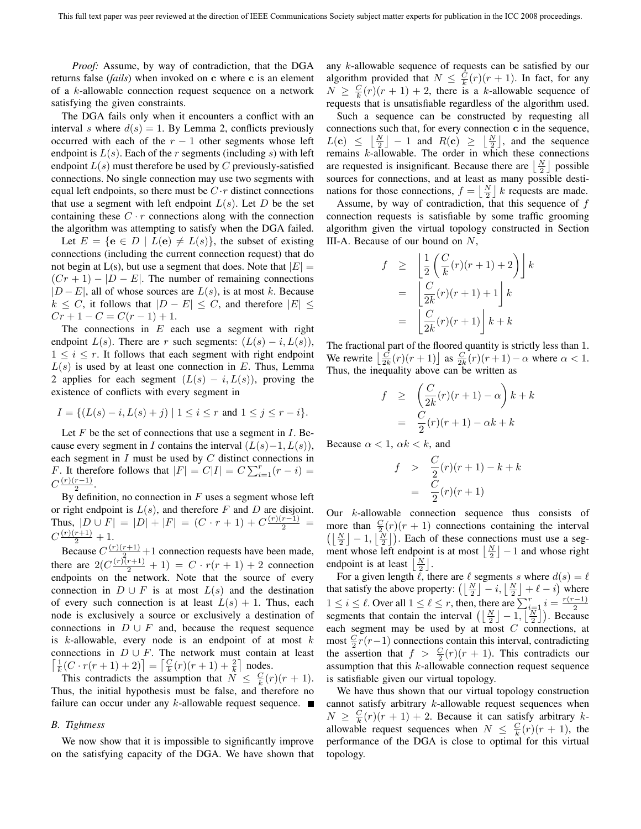*Proof:* Assume, by way of contradiction, that the DGA returns false (*fails*) when invoked on c where c is an element of a *k*-allowable connection request sequence on a network satisfying the given constraints.

The DGA fails only when it encounters a conflict with an interval *s* where  $d(s) = 1$ . By Lemma 2, conflicts previously occurred with each of the  $r - 1$  other segments whose left endpoint is *L*(*s*). Each of the *r* segments (including *s*) with left endpoint  $L(s)$  must therefore be used by  $C$  previously-satisfied connections. No single connection may use two segments with equal left endpoints, so there must be  $C \cdot r$  distinct connections that use a segment with left endpoint  $L(s)$ . Let  $D$  be the set containing these  $C \cdot r$  connections along with the connection the algorithm was attempting to satisfy when the DGA failed.

Let  $E = \{e \in D \mid L(e) \neq L(s)\}\$ , the subset of existing connections (including the current connection request) that do not begin at  $L(s)$ , but use a segment that does. Note that  $|E| =$  $(Cr + 1) - |D - E|$ . The number of remaining connections *|D* −*E|*, all of whose sources are *L*(*s*), is at most *k*. Because  $k \leq C$ , it follows that  $|D - E| \leq C$ , and therefore  $|E| \leq C$  $Cr + 1 - C = C(r - 1) + 1.$ 

The connections in *E* each use a segment with right endpoint  $L(s)$ . There are *r* such segments:  $(L(s) - i, L(s))$ ,  $1 \leq i \leq r$ . It follows that each segment with right endpoint  $L(s)$  is used by at least one connection in *E*. Thus, Lemma 2 applies for each segment  $(L(s) - i, L(s))$ , proving the existence of conflicts with every segment in

$$
I = \{ (L(s) - i, L(s) + j) \mid 1 \le i \le r \text{ and } 1 \le j \le r - i \}.
$$

Let *F* be the set of connections that use a segment in *I*. Because every segment in *I* contains the interval  $(L(s) - 1, L(s))$ , each segment in *I* must be used by *C* distinct connections in *F*. It therefore follows that  $|F| = C|I| = C\sum_{i=1}^{r}(r - i) =$  $C\frac{(r)(r-1)}{2}$ .

By definition, no connection in *F* uses a segment whose left or right endpoint is *L*(*s*), and therefore *F* and *D* are disjoint.  $\text{Thus, } |D \cup F| = |D| + |F| = (C \cdot r + 1) + C \frac{(r)(r-1)}{2} =$  $C\frac{(r)(r+1)}{2}+1.$ 

Because  $C \frac{(r)(r+1)}{r^2} + 1$  connection requests have been made, there are  $2(C\frac{(r)(r+1)}{2} + 1) = C \cdot r(r+1) + 2$  connection endpoints on the network. Note that the source of every connection in  $D \cup F$  is at most  $L(s)$  and the destination of every such connection is at least  $L(s) + 1$ . Thus, each node is exclusively a source or exclusively a destination of connections in  $D \cup F$  and, because the request sequence is *k*-allowable, every node is an endpoint of at most *k* connections in  $D \cup F$ . The network must contain at least  $\left[\frac{1}{k}(C \cdot r(r+1)+2)\right] = \left[\frac{C}{k}(r)(r+1)+\frac{2}{k}\right]$  nodes.

This contradicts the assumption that  $\overline{N} \leq \frac{C}{k}(r)(r+1)$ . Thus, the initial hypothesis must be false, and therefore no failure can occur under any  $k$ -allowable request sequence.  $\blacksquare$ 

#### *B. Tightness*

We now show that it is impossible to significantly improve on the satisfying capacity of the DGA. We have shown that any *k*-allowable sequence of requests can be satisfied by our algorithm provided that  $N \leq \frac{C}{k}(r)(r+1)$ . In fact, for any  $N \geq \frac{C}{k}(r)(r+1) + 2$ , there is a *k*-allowable sequence of requests that is unsatisfiable regardless of the algorithm used.

Such a sequence can be constructed by requesting all connections such that, for every connection c in the sequence,  $L(c) \leq \lfloor \frac{N}{2} \rfloor - 1$  and  $R(c) \geq \lfloor \frac{N}{2} \rfloor$ , and the sequence remains *k*-allowable. The order in which these connections are requested is insignificant. Because there are  $\lfloor \frac{N}{2} \rfloor$  possible sources for connections, and at least as many possible destinations for those connections,  $f = \left\lfloor \frac{N}{2} \right\rfloor k$  requests are made.

Assume, by way of contradiction, that this sequence of *f* connection requests is satisfiable by some traffic grooming algorithm given the virtual topology constructed in Section III-A. Because of our bound on *N*,

$$
f \geq \left[ \frac{1}{2} \left( \frac{C}{k} (r)(r+1) + 2 \right) \right] k
$$
  
= 
$$
\left[ \frac{C}{2k} (r)(r+1) + 1 \right] k
$$
  
= 
$$
\left[ \frac{C}{2k} (r)(r+1) \right] k + k
$$

The fractional part of the floored quantity is strictly less than 1. We rewrite  $\left[ \frac{\bar{C}}{2k}(r)(r+1) \right]$  as  $\frac{\bar{C}}{2k}(r)(r+1) - \alpha$  where  $\alpha < 1$ . Thus, the inequality above can be written as

$$
f \geq \left(\frac{C}{2k}(r)(r+1) - \alpha\right)k + k
$$

$$
= \frac{C}{2}(r)(r+1) - \alpha k + k
$$

Because  $\alpha < 1$ ,  $\alpha k < k$ , and

$$
f > \frac{C}{2}(r)(r+1) - k + k
$$
  
= 
$$
\frac{C}{2}(r)(r+1)
$$

Our *k*-allowable connection sequence thus consists of more than  $\frac{C}{2}(r)(r+1)$  connections containing the interval  $(\lfloor \frac{N}{2} \rfloor - 1, \lfloor \frac{N}{2} \rfloor)$ . Each of these connections must use a segment whose left endpoint is at most  $\left\lfloor \frac{N}{2} \right\rfloor - 1$  and whose right endpoint is at least  $\left[\frac{N}{2}\right]$ .

For a given length  $\ell$ , there are  $\ell$  segments *s* where  $d(s) = \ell$ that satisfy the above property:  $\left( \left\lfloor \frac{N}{2} \right\rfloor - i, \left\lfloor \frac{N}{2} \right\rfloor + \ell - i \right)$  where 1 ≤ *i* ≤  $\ell$ . Over all 1 ≤  $\ell$  ≤ *r*, then, there are  $\sum_{i=1}^{r} i = \frac{r(r-1)}{2}$  segments that contain the interval  $\left(\left\lfloor \frac{N}{2} \right\rfloor - 1, \left\lfloor \frac{N}{2} \right\rfloor\right)$ . Because each segment may be used by at most *C* connections, at most  $\frac{C}{2}r(r-1)$  connections contain this interval, contradicting the assertion that  $f > \frac{C}{2}(r)(r + 1)$ . This contradicts our assumption that this *k*-allowable connection request sequence is satisfiable given our virtual topology.

We have thus shown that our virtual topology construction cannot satisfy arbitrary *k*-allowable request sequences when  $N \geq \frac{C}{k}(r)(r+1) + 2$ . Because it can satisfy arbitrary *k*allowable request sequences when  $N \leq \frac{C}{k}(r)(r+1)$ , the performance of the DGA is close to optimal for this virtual topology.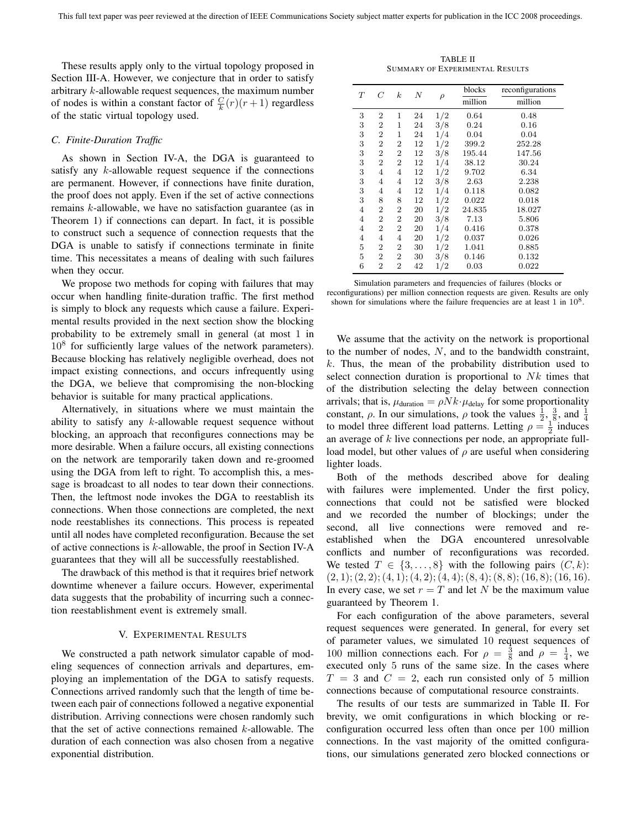These results apply only to the virtual topology proposed in Section III-A. However, we conjecture that in order to satisfy arbitrary *k*-allowable request sequences, the maximum number of nodes is within a constant factor of  $\frac{C}{k}(r)(r+1)$  regardless of the static virtual topology used.

#### *C. Finite-Duration Traffic*

As shown in Section IV-A, the DGA is guaranteed to satisfy any *k*-allowable request sequence if the connections are permanent. However, if connections have finite duration, the proof does not apply. Even if the set of active connections remains *k*-allowable, we have no satisfaction guarantee (as in Theorem 1) if connections can depart. In fact, it is possible to construct such a sequence of connection requests that the DGA is unable to satisfy if connections terminate in finite time. This necessitates a means of dealing with such failures when they occur.

We propose two methods for coping with failures that may occur when handling finite-duration traffic. The first method is simply to block any requests which cause a failure. Experimental results provided in the next section show the blocking probability to be extremely small in general (at most 1 in  $10<sup>8</sup>$  for sufficiently large values of the network parameters). Because blocking has relatively negligible overhead, does not impact existing connections, and occurs infrequently using the DGA, we believe that compromising the non-blocking behavior is suitable for many practical applications.

Alternatively, in situations where we must maintain the ability to satisfy any *k*-allowable request sequence without blocking, an approach that reconfigures connections may be more desirable. When a failure occurs, all existing connections on the network are temporarily taken down and re-groomed using the DGA from left to right. To accomplish this, a message is broadcast to all nodes to tear down their connections. Then, the leftmost node invokes the DGA to reestablish its connections. When those connections are completed, the next node reestablishes its connections. This process is repeated until all nodes have completed reconfiguration. Because the set of active connections is *k*-allowable, the proof in Section IV-A guarantees that they will all be successfully reestablished.

The drawback of this method is that it requires brief network downtime whenever a failure occurs. However, experimental data suggests that the probability of incurring such a connection reestablishment event is extremely small.

#### V. EXPERIMENTAL RESULTS

We constructed a path network simulator capable of modeling sequences of connection arrivals and departures, employing an implementation of the DGA to satisfy requests. Connections arrived randomly such that the length of time between each pair of connections followed a negative exponential distribution. Arriving connections were chosen randomly such that the set of active connections remained *k*-allowable. The duration of each connection was also chosen from a negative exponential distribution.

TABLE II SUMMARY OF EXPERIMENTAL RESULTS

| T | $\overline{C}$ | $\boldsymbol{k}$ | N  | $\rho$ | blocks<br>million | reconfigurations<br>million |
|---|----------------|------------------|----|--------|-------------------|-----------------------------|
| 3 | 2              | 1                | 24 | 1/2    | 0.64              | 0.48                        |
| 3 | $\overline{2}$ | 1                | 24 | 3/8    | 0.24              | 0.16                        |
| 3 | $\overline{2}$ | 1                | 24 | 1/4    | 0.04              | 0.04                        |
| 3 | $\overline{2}$ | 2                | 12 | 1/2    | 399.2             | 252.28                      |
| 3 | $\overline{2}$ | $\overline{2}$   | 12 | 3/8    | 195.44            | 147.56                      |
| 3 | $\overline{2}$ | $\overline{2}$   | 12 | 1/4    | 38.12             | 30.24                       |
| 3 | 4              | 4                | 12 | 1/2    | 9.702             | 6.34                        |
| 3 | 4              | 4                | 12 | 3/8    | 2.63              | 2.238                       |
| 3 | 4              | 4                | 12 | 1/4    | 0.118             | 0.082                       |
| 3 | 8              | 8                | 12 | 1/2    | 0.022             | 0.018                       |
| 4 | $\overline{2}$ | 2                | 20 | 1/2    | 24.835            | 18.027                      |
| 4 | $\overline{2}$ | 2                | 20 | 3/8    | 7.13              | 5.806                       |
| 4 | $\overline{2}$ | $\overline{2}$   | 20 | 1/4    | 0.416             | 0.378                       |
| 4 | 4              | 4                | 20 | 1/2    | 0.037             | 0.026                       |
| 5 | $\overline{2}$ | 2                | 30 | 1/2    | 1.041             | 0.885                       |
| 5 | $\overline{2}$ | $\boldsymbol{2}$ | 30 | 3/8    | 0.146             | 0.132                       |
| 6 | $\overline{2}$ | $\overline{2}$   | 42 | 1/2    | 0.03              | $_{0.022}$                  |

Simulation parameters and frequencies of failures (blocks or reconfigurations) per million connection requests are given. Results are only shown for simulations where the failure frequencies are at least 1 in  $10^8$ .

We assume that the activity on the network is proportional to the number of nodes, *N*, and to the bandwidth constraint, *k*. Thus, the mean of the probability distribution used to select connection duration is proportional to *N k* times that of the distribution selecting the delay between connection arrivals; that is,  $\mu_{\text{duration}} = \rho N k \cdot \mu_{\text{delay}}$  for some proportionality constant,  $\rho$ . In our simulations,  $\rho$  took the values  $\frac{1}{2}$ ,  $\frac{3}{8}$ , and  $\frac{1}{4}$ to model three different load patterns. Letting  $\rho = \frac{1}{2}$  induces an average of *k* live connections per node, an appropriate fullload model, but other values of  $\rho$  are useful when considering lighter loads.

Both of the methods described above for dealing with failures were implemented. Under the first policy, connections that could not be satisfied were blocked and we recorded the number of blockings; under the second, all live connections were removed and reestablished when the DGA encountered unresolvable conflicts and number of reconfigurations was recorded. We tested  $T \in \{3, \ldots, 8\}$  with the following pairs  $(C, k)$ : (2*,* 1); (2*,* 2); (4*,* 1); (4*,* 2); (4*,* 4); (8*,* 4); (8*,* 8); (16*,* 8); (16*,* 16). In every case, we set  $r = T$  and let N be the maximum value guaranteed by Theorem 1.

For each configuration of the above parameters, several request sequences were generated. In general, for every set of parameter values, we simulated 10 request sequences of 100 million connections each. For  $\rho = \frac{3}{8}$  and  $\rho = \frac{1}{4}$ , we executed only 5 runs of the same size. In the cases where  $T = 3$  and  $C = 2$ , each run consisted only of 5 million connections because of computational resource constraints.

The results of our tests are summarized in Table II. For brevity, we omit configurations in which blocking or reconfiguration occurred less often than once per 100 million connections. In the vast majority of the omitted configurations, our simulations generated zero blocked connections or